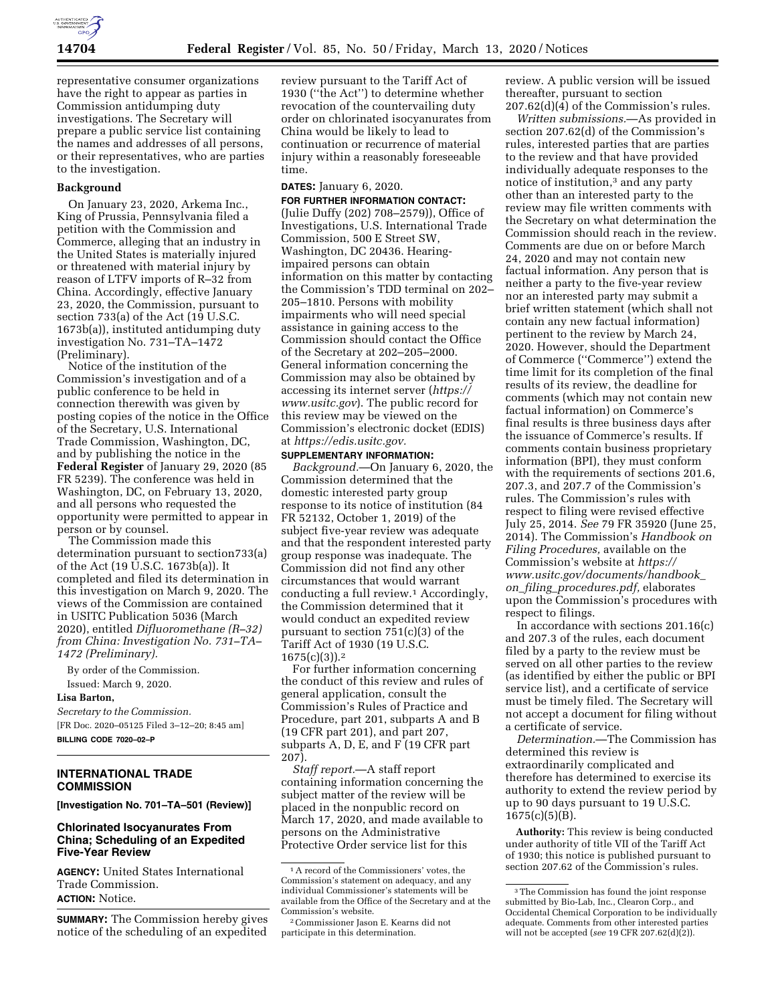

representative consumer organizations have the right to appear as parties in Commission antidumping duty investigations. The Secretary will prepare a public service list containing the names and addresses of all persons, or their representatives, who are parties to the investigation.

# **Background**

On January 23, 2020, Arkema Inc., King of Prussia, Pennsylvania filed a petition with the Commission and Commerce, alleging that an industry in the United States is materially injured or threatened with material injury by reason of LTFV imports of R–32 from China. Accordingly, effective January 23, 2020, the Commission, pursuant to section 733(a) of the Act (19 U.S.C. 1673b(a)), instituted antidumping duty investigation No. 731–TA–1472 (Preliminary).

Notice of the institution of the Commission's investigation and of a public conference to be held in connection therewith was given by posting copies of the notice in the Office of the Secretary, U.S. International Trade Commission, Washington, DC, and by publishing the notice in the **Federal Register** of January 29, 2020 (85 FR 5239). The conference was held in Washington, DC, on February 13, 2020, and all persons who requested the opportunity were permitted to appear in person or by counsel.

The Commission made this determination pursuant to section733(a) of the Act (19 U.S.C. 1673b(a)). It completed and filed its determination in this investigation on March 9, 2020. The views of the Commission are contained in USITC Publication 5036 (March 2020), entitled *Difluoromethane (R–32) from China: Investigation No. 731–TA– 1472 (Preliminary).* 

By order of the Commission.

# Issued: March 9, 2020.

**Lisa Barton,** 

*Secretary to the Commission.*  [FR Doc. 2020–05125 Filed 3–12–20; 8:45 am] **BILLING CODE 7020–02–P** 

# **INTERNATIONAL TRADE COMMISSION**

**[Investigation No. 701–TA–501 (Review)]** 

# **Chlorinated Isocyanurates From China; Scheduling of an Expedited Five-Year Review**

**AGENCY:** United States International Trade Commission. **ACTION:** Notice.

**SUMMARY:** The Commission hereby gives notice of the scheduling of an expedited

review pursuant to the Tariff Act of 1930 (''the Act'') to determine whether revocation of the countervailing duty order on chlorinated isocyanurates from China would be likely to lead to continuation or recurrence of material injury within a reasonably foreseeable time.

# **DATES:** January 6, 2020.

**FOR FURTHER INFORMATION CONTACT:**  (Julie Duffy (202) 708–2579)), Office of Investigations, U.S. International Trade Commission, 500 E Street SW, Washington, DC 20436. Hearingimpaired persons can obtain information on this matter by contacting the Commission's TDD terminal on 202– 205–1810. Persons with mobility impairments who will need special assistance in gaining access to the Commission should contact the Office of the Secretary at 202–205–2000. General information concerning the Commission may also be obtained by accessing its internet server (*[https://](https://www.usitc.gov) [www.usitc.gov](https://www.usitc.gov)*). The public record for this review may be viewed on the Commission's electronic docket (EDIS) at *[https://edis.usitc.gov.](https://edis.usitc.gov)* 

#### **SUPPLEMENTARY INFORMATION:**

*Background.*—On January 6, 2020, the Commission determined that the domestic interested party group response to its notice of institution (84 FR 52132, October 1, 2019) of the subject five-year review was adequate and that the respondent interested party group response was inadequate. The Commission did not find any other circumstances that would warrant conducting a full review.1 Accordingly, the Commission determined that it would conduct an expedited review pursuant to section 751(c)(3) of the Tariff Act of 1930 (19 U.S.C.  $1675(c)(3)$ ).<sup>2</sup>

For further information concerning the conduct of this review and rules of general application, consult the Commission's Rules of Practice and Procedure, part 201, subparts A and B (19 CFR part 201), and part 207, subparts A, D, E, and F (19 CFR part 207).

*Staff report.*—A staff report containing information concerning the subject matter of the review will be placed in the nonpublic record on March 17, 2020, and made available to persons on the Administrative Protective Order service list for this

review. A public version will be issued thereafter, pursuant to section 207.62(d)(4) of the Commission's rules.

*Written submissions.*—As provided in section 207.62(d) of the Commission's rules, interested parties that are parties to the review and that have provided individually adequate responses to the notice of institution,3 and any party other than an interested party to the review may file written comments with the Secretary on what determination the Commission should reach in the review. Comments are due on or before March 24, 2020 and may not contain new factual information. Any person that is neither a party to the five-year review nor an interested party may submit a brief written statement (which shall not contain any new factual information) pertinent to the review by March 24, 2020. However, should the Department of Commerce (''Commerce'') extend the time limit for its completion of the final results of its review, the deadline for comments (which may not contain new factual information) on Commerce's final results is three business days after the issuance of Commerce's results. If comments contain business proprietary information (BPI), they must conform with the requirements of sections 201.6, 207.3, and 207.7 of the Commission's rules. The Commission's rules with respect to filing were revised effective July 25, 2014. *See* 79 FR 35920 (June 25, 2014). The Commission's *Handbook on Filing Procedures,* available on the Commission's website at *[https://](https://www.usitc.gov/documents/handbook_on_filing_procedures.pdf) [www.usitc.gov/documents/handbook](https://www.usitc.gov/documents/handbook_on_filing_procedures.pdf)*\_ *on*\_*filing*\_*[procedures.pdf,](https://www.usitc.gov/documents/handbook_on_filing_procedures.pdf)* elaborates upon the Commission's procedures with respect to filings.

In accordance with sections 201.16(c) and 207.3 of the rules, each document filed by a party to the review must be served on all other parties to the review (as identified by either the public or BPI service list), and a certificate of service must be timely filed. The Secretary will not accept a document for filing without a certificate of service.

*Determination.*—The Commission has determined this review is extraordinarily complicated and therefore has determined to exercise its authority to extend the review period by up to 90 days pursuant to 19 U.S.C. 1675(c)(5)(B).

**Authority:** This review is being conducted under authority of title VII of the Tariff Act of 1930; this notice is published pursuant to section 207.62 of the Commission's rules.

<sup>1</sup>A record of the Commissioners' votes, the Commission's statement on adequacy, and any individual Commissioner's statements will be available from the Office of the Secretary and at the Commission's website.

<sup>2</sup>Commissioner Jason E. Kearns did not participate in this determination.

<sup>&</sup>lt;sup>3</sup>The Commission has found the joint response submitted by Bio-Lab, Inc., Clearon Corp., and Occidental Chemical Corporation to be individually adequate. Comments from other interested parties will not be accepted (*see* 19 CFR 207.62(d)(2)).